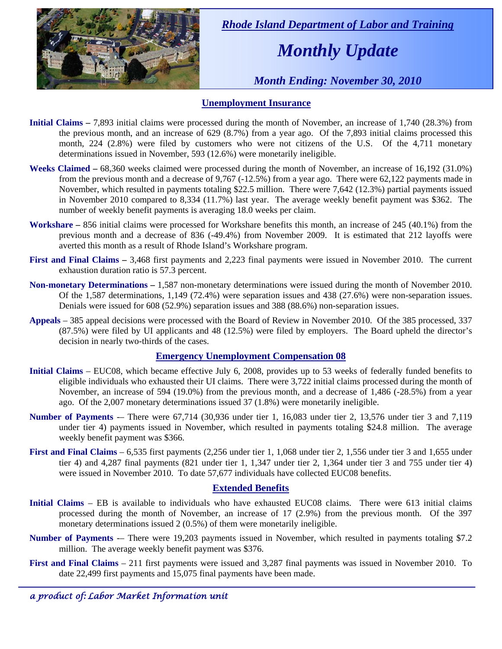

 *Rhode Island Department of Labor and Training* 

# *Monthly Update*

 *Month Ending: November 30, 2010* 

### **Unemployment Insurance**

- **Initial Claims** 7,893 initial claims were processed during the month of November, an increase of 1,740 (28.3%) from the previous month, and an increase of 629 (8.7%) from a year ago. Of the 7,893 initial claims processed this month, 224 (2.8%) were filed by customers who were not citizens of the U.S. Of the 4,711 monetary determinations issued in November, 593 (12.6%) were monetarily ineligible.
- **Weeks Claimed** 68,360 weeks claimed were processed during the month of November, an increase of 16,192 (31.0%) from the previous month and a decrease of 9,767 (-12.5%) from a year ago. There were 62,122 payments made in November, which resulted in payments totaling \$22.5 million. There were 7,642 (12.3%) partial payments issued in November 2010 compared to 8,334 (11.7%) last year. The average weekly benefit payment was \$362. The number of weekly benefit payments is averaging 18.0 weeks per claim.
- **Workshare –** 856 initial claims were processed for Workshare benefits this month, an increase of 245 (40.1%) from the previous month and a decrease of 836 (-49.4%) from November 2009. It is estimated that 212 layoffs were averted this month as a result of Rhode Island's Workshare program.
- **First and Final Claims –** 3,468 first payments and 2,223 final payments were issued in November 2010. The current exhaustion duration ratio is 57.3 percent.
- **Non-monetary Determinations –** 1,587 non-monetary determinations were issued during the month of November 2010. Of the 1,587 determinations, 1,149 (72.4%) were separation issues and 438 (27.6%) were non-separation issues. Denials were issued for 608 (52.9%) separation issues and 388 (88.6%) non-separation issues.
- **Appeals** 385 appeal decisions were processed with the Board of Review in November 2010. Of the 385 processed, 337 (87.5%) were filed by UI applicants and 48 (12.5%) were filed by employers. The Board upheld the director's decision in nearly two-thirds of the cases.

### **Emergency Unemployment Compensation 08**

- **Initial Claims**  EUC08, which became effective July 6, 2008, provides up to 53 weeks of federally funded benefits to eligible individuals who exhausted their UI claims. There were 3,722 initial claims processed during the month of November, an increase of 594 (19.0%) from the previous month, and a decrease of 1,486 (-28.5%) from a year ago. Of the 2,007 monetary determinations issued 37 (1.8%) were monetarily ineligible.
- **Number of Payments** -– There were 67,714 (30,936 under tier 1, 16,083 under tier 2, 13,576 under tier 3 and 7,119 under tier 4) payments issued in November, which resulted in payments totaling \$24.8 million. The average weekly benefit payment was \$366.
- **First and Final Claims**  6,535 first payments (2,256 under tier 1, 1,068 under tier 2, 1,556 under tier 3 and 1,655 under tier 4) and 4,287 final payments (821 under tier 1, 1,347 under tier 2, 1,364 under tier 3 and 755 under tier 4) were issued in November 2010. To date 57,677 individuals have collected EUC08 benefits.

### **Extended Benefits**

- **Initial Claims**  EB is available to individuals who have exhausted EUC08 claims. There were 613 initial claims processed during the month of November, an increase of 17 (2.9%) from the previous month. Of the 397 monetary determinations issued 2 (0.5%) of them were monetarily ineligible.
- **Number of Payments** -– There were 19,203 payments issued in November, which resulted in payments totaling \$7.2 million. The average weekly benefit payment was \$376.
- **First and Final Claims**  211 first payments were issued and 3,287 final payments was issued in November 2010. To date 22,499 first payments and 15,075 final payments have been made.